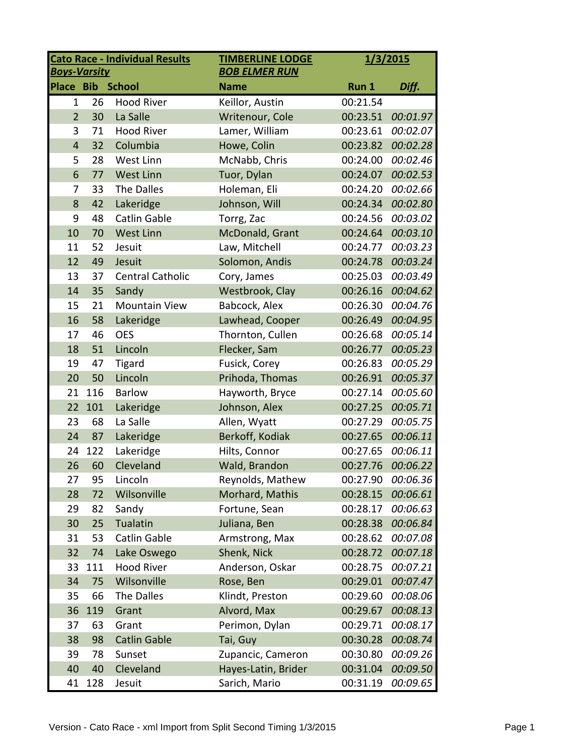| <b>Cato Race - Individual Results</b><br><b>TIMBERLINE LODGE</b><br><b>BOB ELMER RUN</b><br><b>Boys-Varsity</b> |     |                         | 1/3/2015            |          |          |
|-----------------------------------------------------------------------------------------------------------------|-----|-------------------------|---------------------|----------|----------|
| <b>Place Bib</b>                                                                                                |     | <b>School</b>           | <b>Name</b>         | Run 1    | Diff.    |
| $\mathbf{1}$                                                                                                    | 26  | <b>Hood River</b>       | Keillor, Austin     | 00:21.54 |          |
| $\overline{2}$                                                                                                  | 30  | La Salle                | Writenour, Cole     | 00:23.51 | 00:01.97 |
| 3                                                                                                               | 71  | <b>Hood River</b>       | Lamer, William      | 00:23.61 | 00:02.07 |
| $\overline{4}$                                                                                                  | 32  | Columbia                | Howe, Colin         | 00:23.82 | 00:02.28 |
| 5                                                                                                               | 28  | West Linn               | McNabb, Chris       | 00:24.00 | 00:02.46 |
| 6                                                                                                               | 77  | <b>West Linn</b>        | Tuor, Dylan         | 00:24.07 | 00:02.53 |
| 7                                                                                                               | 33  | The Dalles              | Holeman, Eli        | 00:24.20 | 00:02.66 |
| 8                                                                                                               | 42  | Lakeridge               | Johnson, Will       | 00:24.34 | 00:02.80 |
| 9                                                                                                               | 48  | <b>Catlin Gable</b>     | Torrg, Zac          | 00:24.56 | 00:03.02 |
| 10                                                                                                              | 70  | <b>West Linn</b>        | McDonald, Grant     | 00:24.64 | 00:03.10 |
| 11                                                                                                              | 52  | Jesuit                  | Law, Mitchell       | 00:24.77 | 00:03.23 |
| 12                                                                                                              | 49  | Jesuit                  | Solomon, Andis      | 00:24.78 | 00:03.24 |
| 13                                                                                                              | 37  | <b>Central Catholic</b> | Cory, James         | 00:25.03 | 00:03.49 |
| 14                                                                                                              | 35  | Sandy                   | Westbrook, Clay     | 00:26.16 | 00:04.62 |
| 15                                                                                                              | 21  | <b>Mountain View</b>    | Babcock, Alex       | 00:26.30 | 00:04.76 |
| 16                                                                                                              | 58  | Lakeridge               | Lawhead, Cooper     | 00:26.49 | 00:04.95 |
| 17                                                                                                              | 46  | <b>OES</b>              | Thornton, Cullen    | 00:26.68 | 00:05.14 |
| 18                                                                                                              | 51  | Lincoln                 | Flecker, Sam        | 00:26.77 | 00:05.23 |
| 19                                                                                                              | 47  | <b>Tigard</b>           | Fusick, Corey       | 00:26.83 | 00:05.29 |
| 20                                                                                                              | 50  | Lincoln                 | Prihoda, Thomas     | 00:26.91 | 00:05.37 |
| 21                                                                                                              | 116 | <b>Barlow</b>           | Hayworth, Bryce     | 00:27.14 | 00:05.60 |
| 22                                                                                                              | 101 | Lakeridge               | Johnson, Alex       | 00:27.25 | 00:05.71 |
| 23                                                                                                              | 68  | La Salle                | Allen, Wyatt        | 00:27.29 | 00:05.75 |
| 24                                                                                                              | 87  | Lakeridge               | Berkoff, Kodiak     | 00:27.65 | 00:06.11 |
| 24                                                                                                              | 122 | Lakeridge               | Hilts, Connor       | 00:27.65 | 00:06.11 |
| 26                                                                                                              | 60  | Cleveland               | Wald, Brandon       | 00:27.76 | 00:06.22 |
| 27                                                                                                              | 95  | Lincoln                 | Reynolds, Mathew    | 00:27.90 | 00:06.36 |
| 28                                                                                                              | 72  | Wilsonville             | Morhard, Mathis     | 00:28.15 | 00:06.61 |
| 29                                                                                                              | 82  | Sandy                   | Fortune, Sean       | 00:28.17 | 00:06.63 |
| 30                                                                                                              | 25  | Tualatin                | Juliana, Ben        | 00:28.38 | 00:06.84 |
| 31                                                                                                              | 53  | <b>Catlin Gable</b>     | Armstrong, Max      | 00:28.62 | 00:07.08 |
| 32                                                                                                              | 74  | Lake Oswego             | Shenk, Nick         | 00:28.72 | 00:07.18 |
| 33                                                                                                              | 111 | <b>Hood River</b>       | Anderson, Oskar     | 00:28.75 | 00:07.21 |
| 34                                                                                                              | 75  | Wilsonville             | Rose, Ben           | 00:29.01 | 00:07.47 |
| 35                                                                                                              | 66  | The Dalles              | Klindt, Preston     | 00:29.60 | 00:08.06 |
| 36                                                                                                              | 119 | Grant                   | Alvord, Max         | 00:29.67 | 00:08.13 |
| 37                                                                                                              | 63  | Grant                   | Perimon, Dylan      | 00:29.71 | 00:08.17 |
| 38                                                                                                              | 98  | <b>Catlin Gable</b>     | Tai, Guy            | 00:30.28 | 00:08.74 |
| 39                                                                                                              | 78  | Sunset                  | Zupancic, Cameron   | 00:30.80 | 00:09.26 |
| 40                                                                                                              | 40  | Cleveland               | Hayes-Latin, Brider | 00:31.04 | 00:09.50 |
| 41                                                                                                              | 128 | Jesuit                  | Sarich, Mario       | 00:31.19 | 00:09.65 |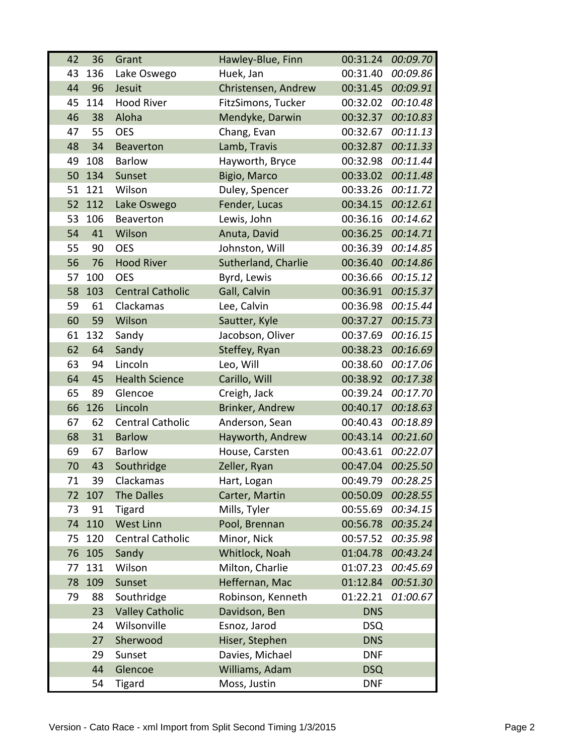| 42 | 36  | Grant                   | Hawley-Blue, Finn   | 00:31.24   | 00:09.70 |
|----|-----|-------------------------|---------------------|------------|----------|
| 43 | 136 | Lake Oswego             | Huek, Jan           | 00:31.40   | 00:09.86 |
| 44 | 96  | Jesuit                  | Christensen, Andrew | 00:31.45   | 00:09.91 |
| 45 | 114 | <b>Hood River</b>       | FitzSimons, Tucker  | 00:32.02   | 00:10.48 |
| 46 | 38  | Aloha                   | Mendyke, Darwin     | 00:32.37   | 00:10.83 |
| 47 | 55  | <b>OES</b>              | Chang, Evan         | 00:32.67   | 00:11.13 |
| 48 | 34  | <b>Beaverton</b>        | Lamb, Travis        | 00:32.87   | 00:11.33 |
| 49 | 108 | <b>Barlow</b>           | Hayworth, Bryce     | 00:32.98   | 00:11.44 |
| 50 | 134 | Sunset                  | Bigio, Marco        | 00:33.02   | 00:11.48 |
| 51 | 121 | Wilson                  | Duley, Spencer      | 00:33.26   | 00:11.72 |
| 52 | 112 | Lake Oswego             | Fender, Lucas       | 00:34.15   | 00:12.61 |
| 53 | 106 | <b>Beaverton</b>        | Lewis, John         | 00:36.16   | 00:14.62 |
| 54 | 41  | Wilson                  | Anuta, David        | 00:36.25   | 00:14.71 |
| 55 | 90  | <b>OES</b>              | Johnston, Will      | 00:36.39   | 00:14.85 |
| 56 | 76  | <b>Hood River</b>       | Sutherland, Charlie | 00:36.40   | 00:14.86 |
| 57 | 100 | <b>OES</b>              | Byrd, Lewis         | 00:36.66   | 00:15.12 |
| 58 | 103 | <b>Central Catholic</b> | Gall, Calvin        | 00:36.91   | 00:15.37 |
| 59 | 61  | Clackamas               | Lee, Calvin         | 00:36.98   | 00:15.44 |
| 60 | 59  | Wilson                  | Sautter, Kyle       | 00:37.27   | 00:15.73 |
| 61 | 132 | Sandy                   | Jacobson, Oliver    | 00:37.69   | 00:16.15 |
| 62 | 64  | Sandy                   | Steffey, Ryan       | 00:38.23   | 00:16.69 |
| 63 | 94  | Lincoln                 | Leo, Will           | 00:38.60   | 00:17.06 |
| 64 | 45  | <b>Health Science</b>   | Carillo, Will       | 00:38.92   | 00:17.38 |
| 65 | 89  | Glencoe                 | Creigh, Jack        | 00:39.24   | 00:17.70 |
| 66 | 126 | Lincoln                 | Brinker, Andrew     | 00:40.17   | 00:18.63 |
| 67 | 62  | <b>Central Catholic</b> | Anderson, Sean      | 00:40.43   | 00:18.89 |
| 68 | 31  | <b>Barlow</b>           | Hayworth, Andrew    | 00:43.14   | 00:21.60 |
| 69 | 67  | <b>Barlow</b>           | House, Carsten      | 00:43.61   | 00:22.07 |
| 70 | 43  | Southridge              | Zeller, Ryan        | 00:47.04   | 00:25.50 |
| 71 | 39  | Clackamas               | Hart, Logan         | 00:49.79   | 00:28.25 |
| 72 | 107 | The Dalles              | Carter, Martin      | 00:50.09   | 00:28.55 |
| 73 | 91  | <b>Tigard</b>           | Mills, Tyler        | 00:55.69   | 00:34.15 |
| 74 | 110 | <b>West Linn</b>        | Pool, Brennan       | 00:56.78   | 00:35.24 |
| 75 | 120 | <b>Central Catholic</b> | Minor, Nick         | 00:57.52   | 00:35.98 |
| 76 | 105 | Sandy                   | Whitlock, Noah      | 01:04.78   | 00:43.24 |
| 77 | 131 | Wilson                  | Milton, Charlie     | 01:07.23   | 00:45.69 |
| 78 | 109 | Sunset                  | Heffernan, Mac      | 01:12.84   | 00:51.30 |
| 79 | 88  | Southridge              | Robinson, Kenneth   | 01:22.21   | 01:00.67 |
|    | 23  | <b>Valley Catholic</b>  | Davidson, Ben       | <b>DNS</b> |          |
|    | 24  | Wilsonville             | Esnoz, Jarod        | <b>DSQ</b> |          |
|    | 27  | Sherwood                | Hiser, Stephen      | <b>DNS</b> |          |
|    | 29  | Sunset                  | Davies, Michael     | <b>DNF</b> |          |
|    | 44  | Glencoe                 | Williams, Adam      | <b>DSQ</b> |          |
|    | 54  | <b>Tigard</b>           | Moss, Justin        | <b>DNF</b> |          |